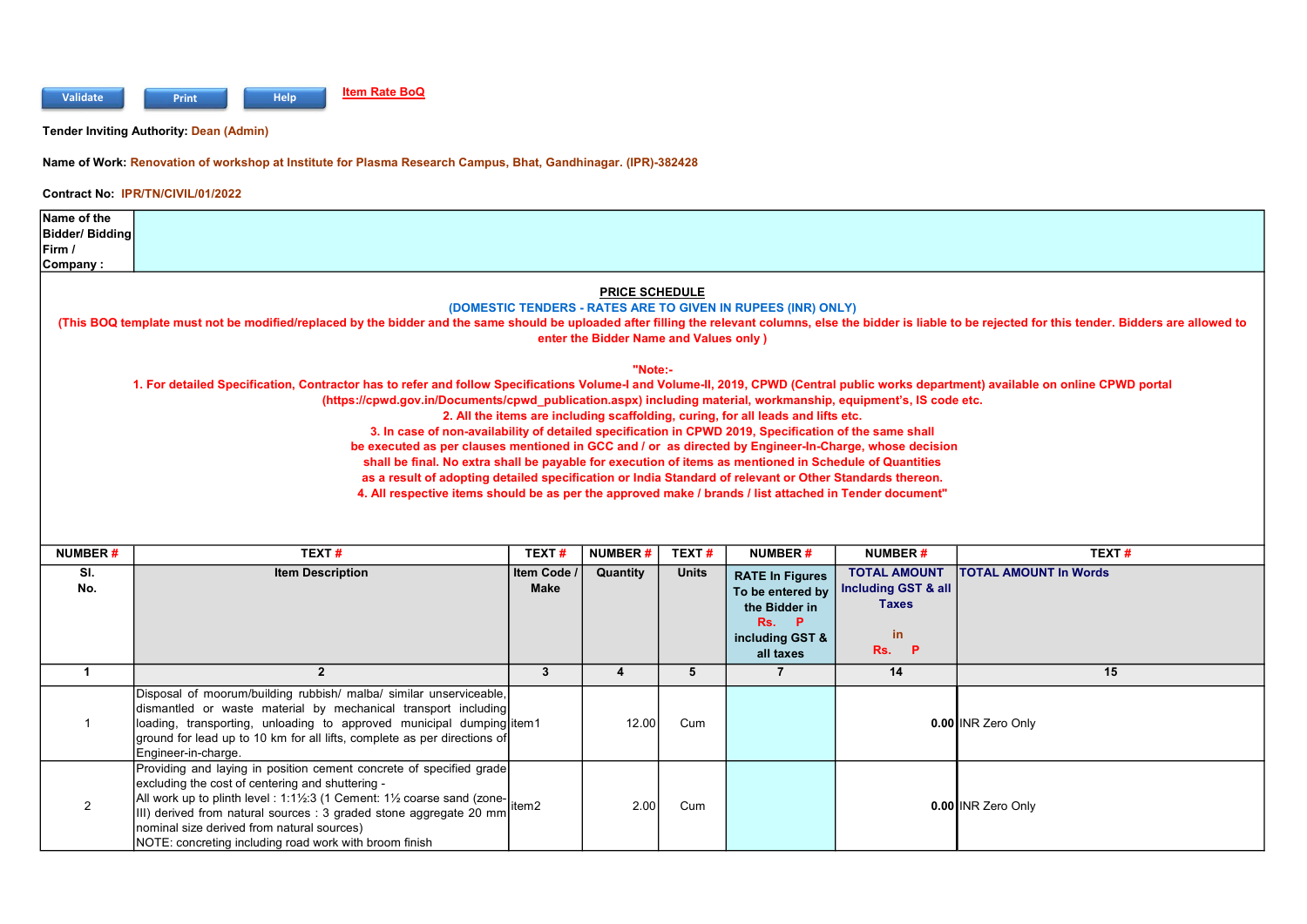

Tender Inviting Authority: Dean (Admin)

Name of Work: Renovation of workshop at Institute for Plasma Research Campus, Bhat, Gandhinagar. (IPR)-382428

## Contract No: IPR/TN/CIVIL/01/2022

| Name of the<br><b>Bidder/Bidding</b><br>Firm /                                                                                                                                                                                                                                                                                                                                                                                                                                                                                                                                                                                                                                 |                                                                                                                                                                                                                     |             |                |              |                                                                                  |                     |                              |  |  |
|--------------------------------------------------------------------------------------------------------------------------------------------------------------------------------------------------------------------------------------------------------------------------------------------------------------------------------------------------------------------------------------------------------------------------------------------------------------------------------------------------------------------------------------------------------------------------------------------------------------------------------------------------------------------------------|---------------------------------------------------------------------------------------------------------------------------------------------------------------------------------------------------------------------|-------------|----------------|--------------|----------------------------------------------------------------------------------|---------------------|------------------------------|--|--|
| Company:                                                                                                                                                                                                                                                                                                                                                                                                                                                                                                                                                                                                                                                                       |                                                                                                                                                                                                                     |             |                |              |                                                                                  |                     |                              |  |  |
| <b>PRICE SCHEDULE</b><br>(DOMESTIC TENDERS - RATES ARE TO GIVEN IN RUPEES (INR) ONLY)<br>(This BOQ template must not be modified/replaced by the bidder and the same should be uploaded after filling the relevant columns, else the bidder is liable to be rejected for this tender. Bidders are allowed to<br>enter the Bidder Name and Values only)<br>"Note:-<br>1. For detailed Specification, Contractor has to refer and follow Specifications Volume-I and Volume-II, 2019, CPWD (Central public works department) available on online CPWD portal<br>(https://cpwd.gov.in/Documents/cpwd_publication.aspx) including material, workmanship, equipment's, IS code etc. |                                                                                                                                                                                                                     |             |                |              |                                                                                  |                     |                              |  |  |
|                                                                                                                                                                                                                                                                                                                                                                                                                                                                                                                                                                                                                                                                                |                                                                                                                                                                                                                     |             |                |              | 2. All the items are including scaffolding, curing, for all leads and lifts etc. |                     |                              |  |  |
|                                                                                                                                                                                                                                                                                                                                                                                                                                                                                                                                                                                                                                                                                | 3. In case of non-availability of detailed specification in CPWD 2019, Specification of the same shall                                                                                                              |             |                |              |                                                                                  |                     |                              |  |  |
|                                                                                                                                                                                                                                                                                                                                                                                                                                                                                                                                                                                                                                                                                | be executed as per clauses mentioned in GCC and / or as directed by Engineer-In-Charge, whose decision                                                                                                              |             |                |              |                                                                                  |                     |                              |  |  |
|                                                                                                                                                                                                                                                                                                                                                                                                                                                                                                                                                                                                                                                                                | shall be final. No extra shall be payable for execution of items as mentioned in Schedule of Quantities<br>as a result of adopting detailed specification or India Standard of relevant or Other Standards thereon. |             |                |              |                                                                                  |                     |                              |  |  |
|                                                                                                                                                                                                                                                                                                                                                                                                                                                                                                                                                                                                                                                                                | 4. All respective items should be as per the approved make / brands / list attached in Tender document"                                                                                                             |             |                |              |                                                                                  |                     |                              |  |  |
|                                                                                                                                                                                                                                                                                                                                                                                                                                                                                                                                                                                                                                                                                |                                                                                                                                                                                                                     |             |                |              |                                                                                  |                     |                              |  |  |
|                                                                                                                                                                                                                                                                                                                                                                                                                                                                                                                                                                                                                                                                                |                                                                                                                                                                                                                     |             |                |              |                                                                                  |                     |                              |  |  |
| <b>NUMBER#</b>                                                                                                                                                                                                                                                                                                                                                                                                                                                                                                                                                                                                                                                                 | TEXT#                                                                                                                                                                                                               | TEXT#       | <b>NUMBER#</b> | TEXT#        | NUMBER#                                                                          | <b>NUMBER#</b>      | TEXT#                        |  |  |
| SI.                                                                                                                                                                                                                                                                                                                                                                                                                                                                                                                                                                                                                                                                            | <b>Item Description</b>                                                                                                                                                                                             | Item Code / | Quantity       | <b>Units</b> | <b>RATE In Figures</b>                                                           | <b>TOTAL AMOUNT</b> | <b>TOTAL AMOUNT In Words</b> |  |  |
| No.                                                                                                                                                                                                                                                                                                                                                                                                                                                                                                                                                                                                                                                                            |                                                                                                                                                                                                                     | <b>Make</b> |                |              | To be entered by                                                                 | Including GST & all |                              |  |  |
|                                                                                                                                                                                                                                                                                                                                                                                                                                                                                                                                                                                                                                                                                |                                                                                                                                                                                                                     |             |                |              | the Bidder in                                                                    | <b>Taxes</b>        |                              |  |  |

| NO. |                                                                                                                                                                                                                                                                                                                                                                                | маке |       |     | To be entered by<br>the Bidder in<br><b>P</b><br>Rs.<br>including GST &<br>all taxes | Including $GSI$ & all<br><b>Taxes</b><br>in<br>Rs.<br><b>P</b> |                    |
|-----|--------------------------------------------------------------------------------------------------------------------------------------------------------------------------------------------------------------------------------------------------------------------------------------------------------------------------------------------------------------------------------|------|-------|-----|--------------------------------------------------------------------------------------|----------------------------------------------------------------|--------------------|
|     |                                                                                                                                                                                                                                                                                                                                                                                |      |       |     |                                                                                      | 14                                                             | 15                 |
|     | Disposal of moorum/building rubbish/ malba/ similar unserviceable,<br>dismantled or waste material by mechanical transport including<br>loading, transporting, unloading to approved municipal dumping item1<br>ground for lead up to 10 km for all lifts, complete as per directions of<br>Engineer-in-charge.                                                                |      | 12.00 | Cum |                                                                                      |                                                                | 0.00 INR Zero Only |
|     | Providing and laying in position cement concrete of specified grade<br>excluding the cost of centering and shuttering -<br>All work up to plinth level : 1:1½:3 (1 Cement: 1½ coarse sand (zone-<br>III) derived from natural sources : 3 graded stone aggregate 20 mm<br>nominal size derived from natural sources)<br>NOTE: concreting including road work with broom finish |      | 2.00  | Cum |                                                                                      |                                                                | 0.00 INR Zero Only |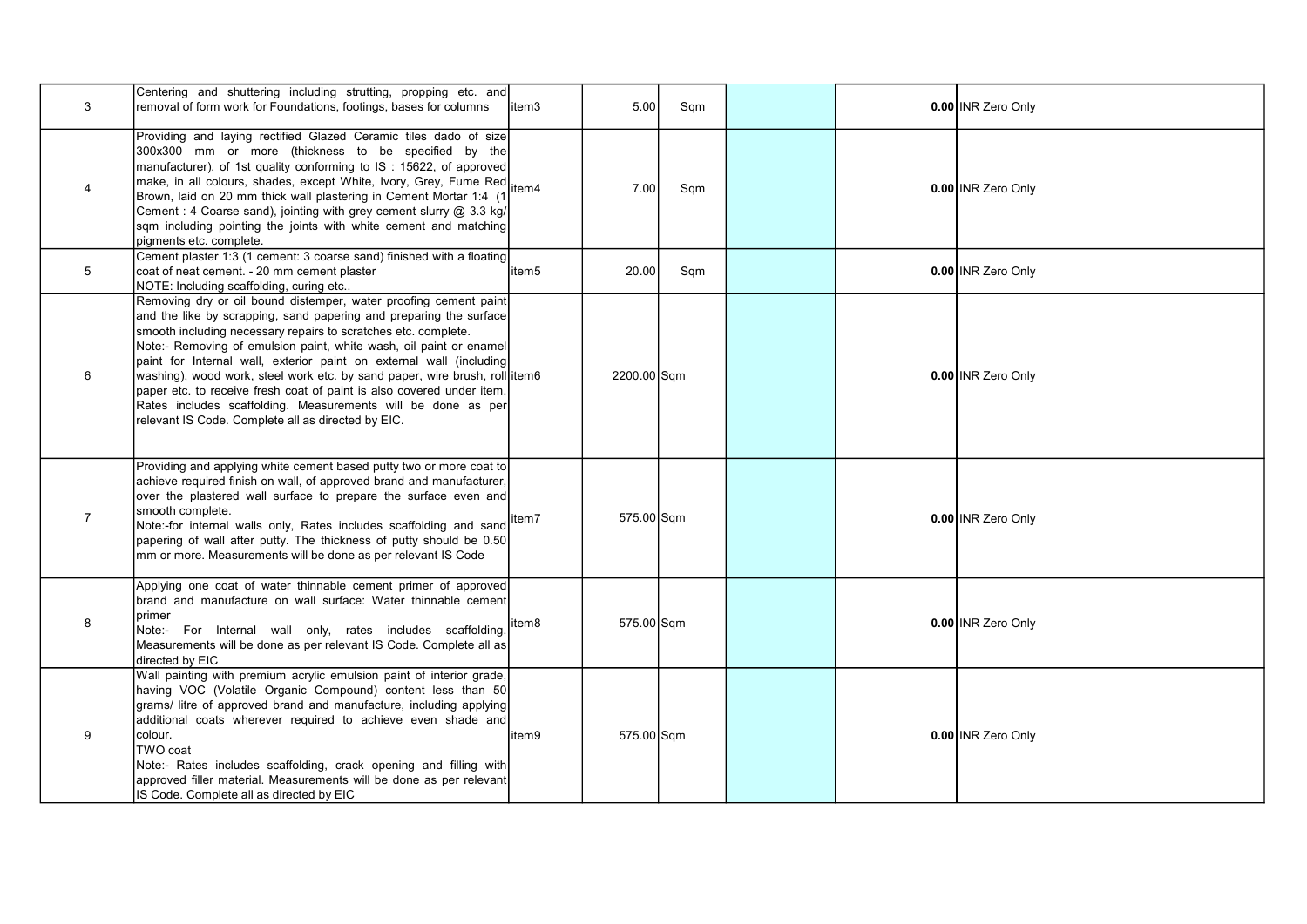| 3              | Centering and shuttering including strutting, propping etc. and<br>removal of form work for Foundations, footings, bases for columns                                                                                                                                                                                                                                                                                                                                                                                                                                                                                               | litem3 | 5.00        | Sqm |  | 0.00 INR Zero Only |
|----------------|------------------------------------------------------------------------------------------------------------------------------------------------------------------------------------------------------------------------------------------------------------------------------------------------------------------------------------------------------------------------------------------------------------------------------------------------------------------------------------------------------------------------------------------------------------------------------------------------------------------------------------|--------|-------------|-----|--|--------------------|
| $\overline{4}$ | Providing and laying rectified Glazed Ceramic tiles dado of size<br>300x300 mm or more (thickness to be specified by the<br>manufacturer), of 1st quality conforming to IS: 15622, of approved<br>make, in all colours, shades, except White, Ivory, Grey, Fume Red<br>Brown, laid on 20 mm thick wall plastering in Cement Mortar 1:4 (1<br>Cement : 4 Coarse sand), jointing with grey cement slurry @ 3.3 kg/<br>sqm including pointing the joints with white cement and matching<br>pigments etc. complete.                                                                                                                    | item4  | 7.00        | Sqm |  | 0.00 INR Zero Only |
| 5              | Cement plaster 1:3 (1 cement: 3 coarse sand) finished with a floating<br>coat of neat cement. - 20 mm cement plaster<br>NOTE: Including scaffolding, curing etc                                                                                                                                                                                                                                                                                                                                                                                                                                                                    | item5  | 20.00       | Sqm |  | 0.00 INR Zero Only |
| 6              | Removing dry or oil bound distemper, water proofing cement paint<br>and the like by scrapping, sand papering and preparing the surface<br>smooth including necessary repairs to scratches etc. complete.<br>Note:- Removing of emulsion paint, white wash, oil paint or enamel<br>paint for Internal wall, exterior paint on external wall (including<br>washing), wood work, steel work etc. by sand paper, wire brush, roll item6<br>paper etc. to receive fresh coat of paint is also covered under item.<br>Rates includes scaffolding. Measurements will be done as per<br>relevant IS Code. Complete all as directed by EIC. |        | 2200.00 Sqm |     |  | 0.00 INR Zero Only |
| $\overline{7}$ | Providing and applying white cement based putty two or more coat to<br>achieve required finish on wall, of approved brand and manufacturer,<br>over the plastered wall surface to prepare the surface even and<br>smooth complete.<br>Note:-for internal walls only, Rates includes scaffolding and sand<br>papering of wall after putty. The thickness of putty should be 0.50<br>mm or more. Measurements will be done as per relevant IS Code                                                                                                                                                                                   | item7  | 575.00 Sqm  |     |  | 0.00 INR Zero Only |
| 8              | Applying one coat of water thinnable cement primer of approved<br>brand and manufacture on wall surface: Water thinnable cement<br>Iprimer<br>Note:- For Internal wall only, rates includes scaffolding.<br>Measurements will be done as per relevant IS Code. Complete all as<br>directed by EIC                                                                                                                                                                                                                                                                                                                                  | litem8 | 575.00 Sqm  |     |  | 0.00 INR Zero Only |
| 9              | Wall painting with premium acrylic emulsion paint of interior grade,<br>having VOC (Volatile Organic Compound) content less than 50<br>grams/ litre of approved brand and manufacture, including applying<br>additional coats wherever required to achieve even shade and<br>colour.<br>TWO coat<br>Note:- Rates includes scaffolding, crack opening and filling with<br>approved filler material. Measurements will be done as per relevant<br>IS Code. Complete all as directed by EIC                                                                                                                                           | item9  | 575.00 Sqm  |     |  | 0.00 INR Zero Only |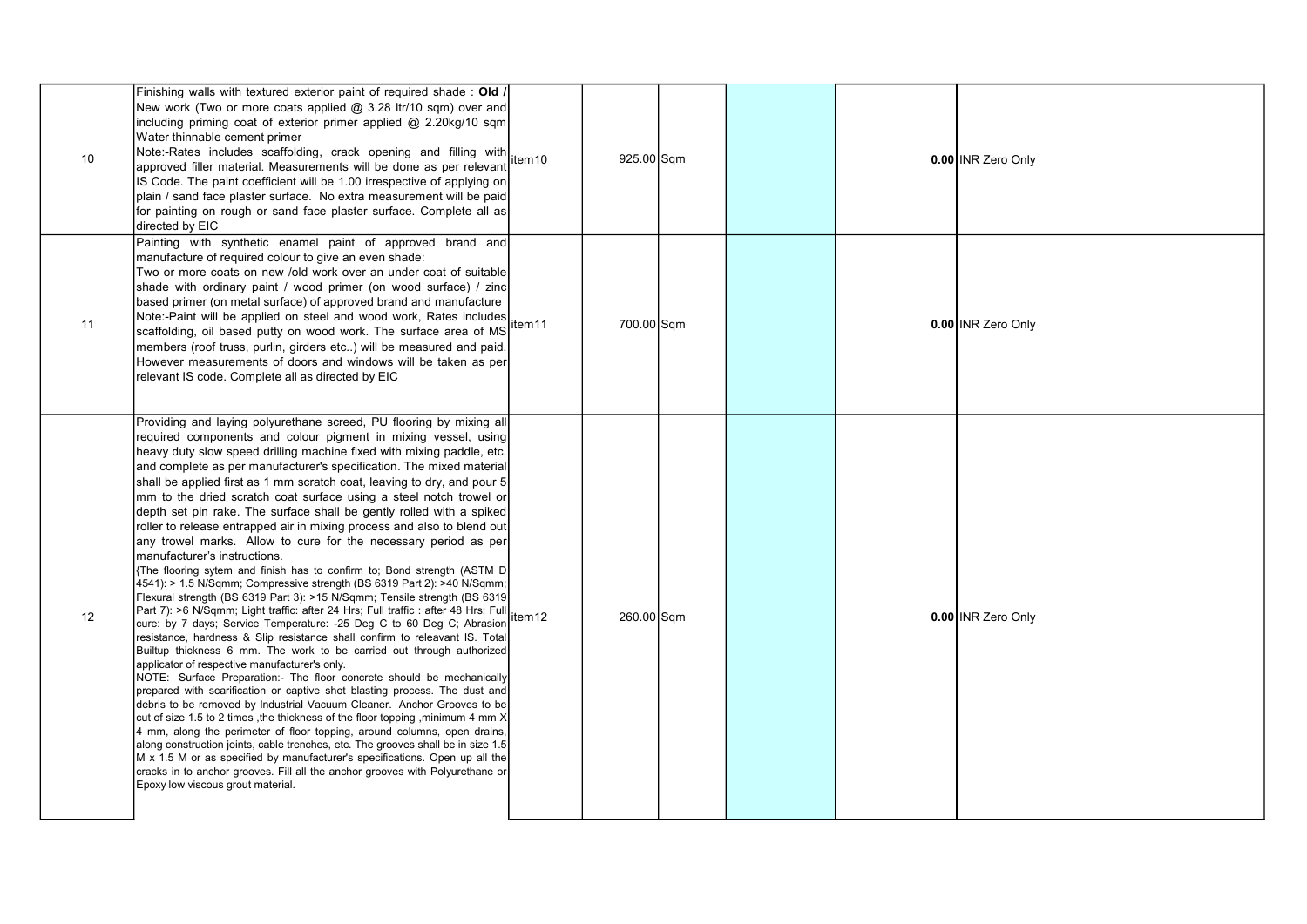| 10 <sup>°</sup> | Finishing walls with textured exterior paint of required shade: Old /<br>New work (Two or more coats applied @ 3.28 ltr/10 sqm) over and<br>including priming coat of exterior primer applied @ 2.20kg/10 sqm<br>Water thinnable cement primer<br>Note:-Rates includes scaffolding, crack opening and filling with<br>approved filler material. Measurements will be done as per relevant<br>IS Code. The paint coefficient will be 1.00 irrespective of applying on<br>plain / sand face plaster surface. No extra measurement will be paid<br>for painting on rough or sand face plaster surface. Complete all as<br>directed by EIC                                                                                                                                                                                                                                                                                                                                                                                                                                                                                                                                                                                                                                                                                                                                                                                                                                                                                                                                                                                                                                                                                                                                                                                                                                                                                                                                                             | item10             | 925.00 Sqm |  | 0.00 INR Zero Only |
|-----------------|----------------------------------------------------------------------------------------------------------------------------------------------------------------------------------------------------------------------------------------------------------------------------------------------------------------------------------------------------------------------------------------------------------------------------------------------------------------------------------------------------------------------------------------------------------------------------------------------------------------------------------------------------------------------------------------------------------------------------------------------------------------------------------------------------------------------------------------------------------------------------------------------------------------------------------------------------------------------------------------------------------------------------------------------------------------------------------------------------------------------------------------------------------------------------------------------------------------------------------------------------------------------------------------------------------------------------------------------------------------------------------------------------------------------------------------------------------------------------------------------------------------------------------------------------------------------------------------------------------------------------------------------------------------------------------------------------------------------------------------------------------------------------------------------------------------------------------------------------------------------------------------------------------------------------------------------------------------------------------------------------|--------------------|------------|--|--------------------|
| 11              | Painting with synthetic enamel paint of approved brand and<br>manufacture of required colour to give an even shade:<br>Two or more coats on new /old work over an under coat of suitable<br>shade with ordinary paint / wood primer (on wood surface) / zinc<br>based primer (on metal surface) of approved brand and manufacture<br>Note:-Paint will be applied on steel and wood work, Rates includes<br>scaffolding, oil based putty on wood work. The surface area of MS<br>members (roof truss, purlin, girders etc) will be measured and paid.<br>However measurements of doors and windows will be taken as per<br>relevant IS code. Complete all as directed by EIC                                                                                                                                                                                                                                                                                                                                                                                                                                                                                                                                                                                                                                                                                                                                                                                                                                                                                                                                                                                                                                                                                                                                                                                                                                                                                                                        | item11             | 700.00 Sqm |  | 0.00 INR Zero Only |
| 12              | Providing and laying polyurethane screed, PU flooring by mixing all<br>required components and colour pigment in mixing vessel, using<br>heavy duty slow speed drilling machine fixed with mixing paddle, etc.<br>and complete as per manufacturer's specification. The mixed material<br>shall be applied first as 1 mm scratch coat, leaving to dry, and pour 5<br>mm to the dried scratch coat surface using a steel notch trowel or<br>depth set pin rake. The surface shall be gently rolled with a spiked<br>roller to release entrapped air in mixing process and also to blend out<br>any trowel marks. Allow to cure for the necessary period as per<br>manufacturer's instructions.<br>The flooring sytem and finish has to confirm to; Bond strength (ASTM D<br>4541): > 1.5 N/Sqmm; Compressive strength (BS 6319 Part 2): >40 N/Sqmm;<br>Flexural strength (BS 6319 Part 3): >15 N/Sqmm; Tensile strength (BS 6319<br>Part 7): >6 N/Sqmm; Light traffic: after 24 Hrs; Full traffic : after 48 Hrs; Full<br>cure: by 7 days; Service Temperature: -25 Deg C to 60 Deg C; Abrasion<br>resistance, hardness & Slip resistance shall confirm to releavant IS. Total<br>Builtup thickness 6 mm. The work to be carried out through authorized<br>applicator of respective manufacturer's only.<br>NOTE: Surface Preparation:- The floor concrete should be mechanically<br>prepared with scarification or captive shot blasting process. The dust and<br>debris to be removed by Industrial Vacuum Cleaner. Anchor Grooves to be<br>cut of size 1.5 to 2 times , the thickness of the floor topping , minimum 4 mm X<br>4 mm, along the perimeter of floor topping, around columns, open drains,<br>along construction joints, cable trenches, etc. The grooves shall be in size 1.5<br>M x 1.5 M or as specified by manufacturer's specifications. Open up all the<br>cracks in to anchor grooves. Fill all the anchor grooves with Polyurethane or<br>Epoxy low viscous grout material. | item <sub>12</sub> | 260.00 Sqm |  | 0.00 INR Zero Only |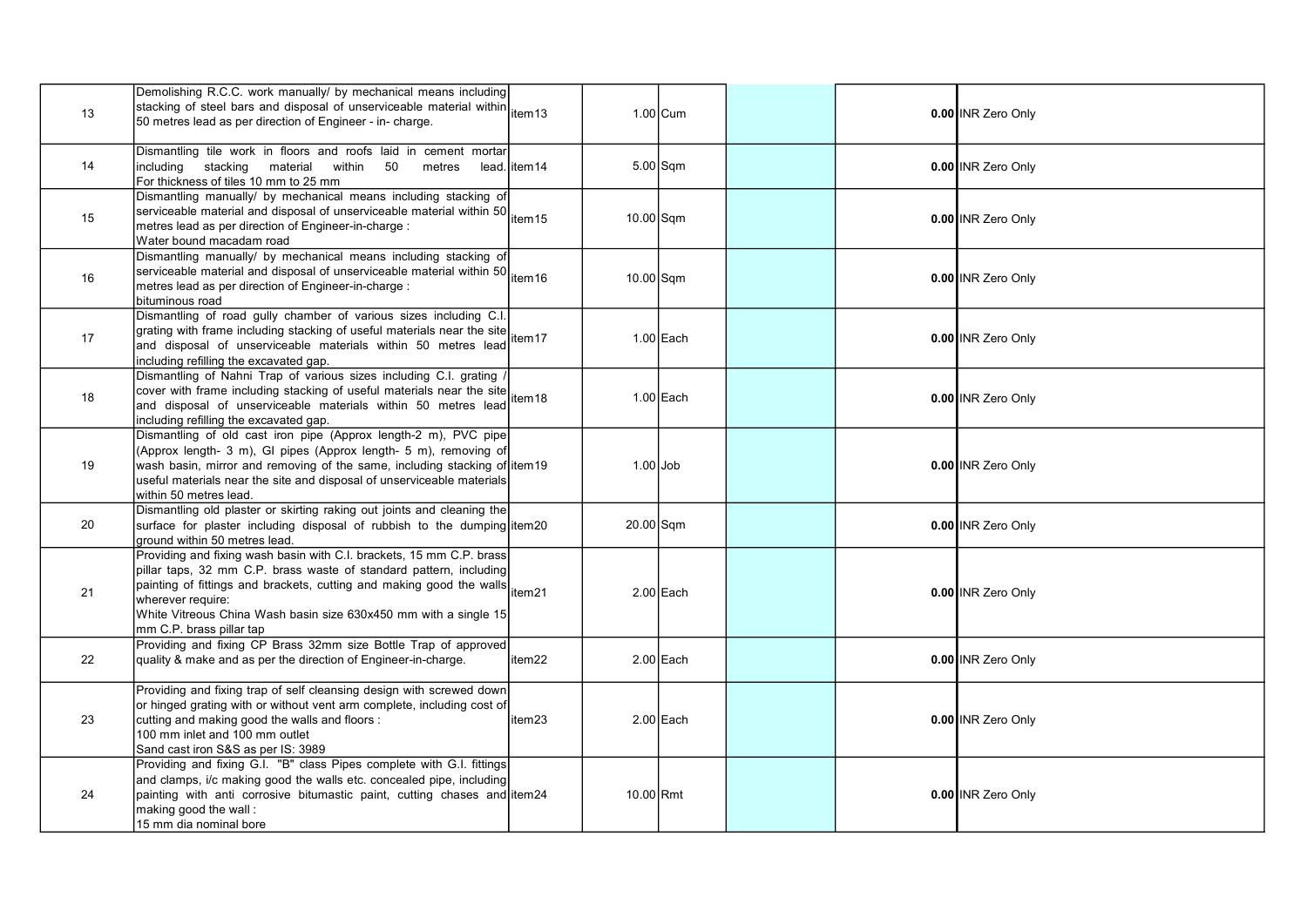| 13 | Demolishing R.C.C. work manually/ by mechanical means including<br>stacking of steel bars and disposal of unserviceable material within tem13<br>50 metres lead as per direction of Engineer - in- charge.                                                                                                                                       |              |             | $1.00$ Cum  |  | 0.00 INR Zero Only |
|----|--------------------------------------------------------------------------------------------------------------------------------------------------------------------------------------------------------------------------------------------------------------------------------------------------------------------------------------------------|--------------|-------------|-------------|--|--------------------|
| 14 | Dismantling tile work in floors and roofs laid in cement mortar<br>including stacking material within 50<br>metres<br>For thickness of tiles 10 mm to 25 mm                                                                                                                                                                                      | lead. item14 |             | $5.00$ Sqm  |  | 0.00 INR Zero Only |
| 15 | Dismantling manually/ by mechanical means including stacking of<br>serviceable material and disposal of unserviceable material within 50 tem 15<br>metres lead as per direction of Engineer-in-charge :<br>Water bound macadam road                                                                                                              |              | $10.00$ Sqm |             |  | 0.00 INR Zero Only |
| 16 | Dismantling manually/ by mechanical means including stacking of<br>Serviceable material and disposal of unserviceable material within 50 tem 16<br>Imetres lead as per direction of Engineer-in-charge :<br>bituminous road                                                                                                                      |              | $10.00$ Sqm |             |  | 0.00 INR Zero Only |
| 17 | Dismantling of road gully chamber of various sizes including C.I.<br>producing or road gaily change of useful materials near the site<br>grating with frame including stacking of useful materials near the site<br>and disposal of unserviceable materials within 50 metres lead<br>including refilling the excavated gap.                      |              |             | 1.00 Each   |  | 0.00 INR Zero Only |
| 18 | Dismantling of Nahni Trap of various sizes including C.I. grating<br>cover with frame including stacking of useful materials near the site term it and disposal of unserviceable materials within 50 metres lead term 18<br>including refilling the excavated gap.                                                                               |              |             | 1.00 Each   |  | 0.00 INR Zero Only |
| 19 | Dismantling of old cast iron pipe (Approx length-2 m), PVC pipe<br>(Approx length- 3 m), GI pipes (Approx length- 5 m), removing of<br>wash basin, mirror and removing of the same, including stacking of item19<br>useful materials near the site and disposal of unserviceable materials<br>within 50 metres lead.                             |              | $1.00$ Job  |             |  | 0.00 INR Zero Only |
| 20 | Dismantling old plaster or skirting raking out joints and cleaning the<br>surface for plaster including disposal of rubbish to the dumping item20<br>ground within 50 metres lead.                                                                                                                                                               |              | 20.00 Sqm   |             |  | 0.00 INR Zero Only |
| 21 | Providing and fixing wash basin with C.I. brackets, 15 mm C.P. brass<br>pillar taps, 32 mm C.P. brass waste of standard pattern, including<br>philon tape, of things and brackets, cutting and making good the walls item21<br>wherever require:<br>White Vitreous China Wash basin size 630x450 mm with a single 15<br>mm C.P. brass pillar tap |              |             | $2.00$ Each |  | 0.00 INR Zero Only |
| 22 | Providing and fixing CP Brass 32mm size Bottle Trap of approved<br>quality & make and as per the direction of Engineer-in-charge.                                                                                                                                                                                                                | item22       |             | 2.00 Each   |  | 0.00 INR Zero Only |
| 23 | Providing and fixing trap of self cleansing design with screwed down<br>or hinged grating with or without vent arm complete, including cost of<br>cutting and making good the walls and floors :<br>100 mm inlet and 100 mm outlet<br>Sand cast iron S&S as per IS: 3989                                                                         | item23       |             | 2.00 Each   |  | 0.00 INR Zero Only |
| 24 | Providing and fixing G.I. "B" class Pipes complete with G.I. fittings<br>and clamps, i/c making good the walls etc. concealed pipe, including<br>painting with anti corrosive bitumastic paint, cutting chases and item24<br>making good the wall:<br>15 mm dia nominal bore                                                                     |              | 10.00 Rmt   |             |  | 0.00 INR Zero Only |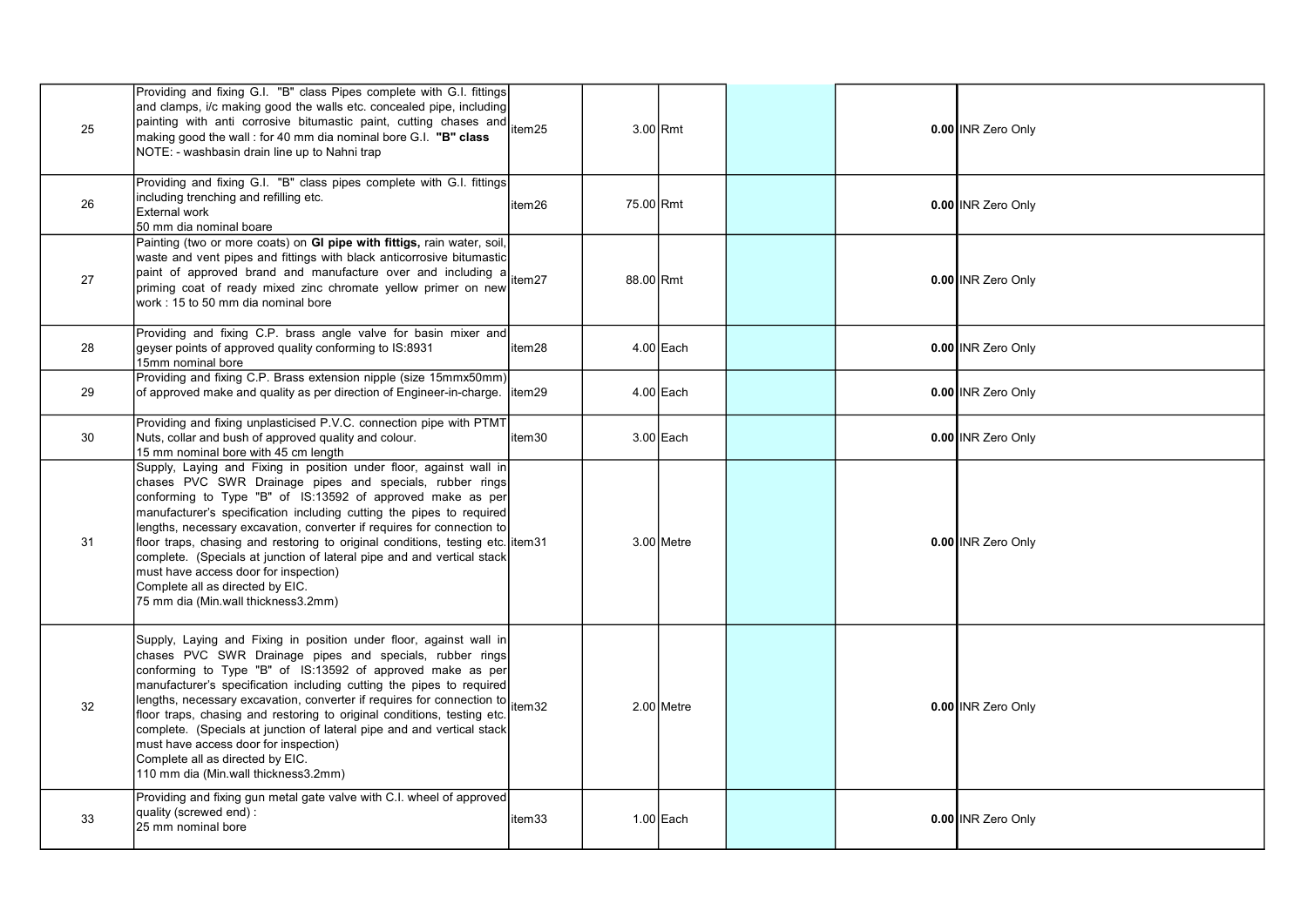| 25 | Providing and fixing G.I. "B" class Pipes complete with G.I. fittings<br>and clamps, i/c making good the walls etc. concealed pipe, including<br>painting with anti-corrosive bitumastic paint, cutting chases and item25<br>$ $ making good the wall : for 40 mm dia nominal bore G.I. "B" class<br>NOTE: - washbasin drain line up to Nahni trap                                                                                                                                                                                                                                                                             |         |           | $3.00$ Rmt   |  | 0.00 INR Zero Only |
|----|--------------------------------------------------------------------------------------------------------------------------------------------------------------------------------------------------------------------------------------------------------------------------------------------------------------------------------------------------------------------------------------------------------------------------------------------------------------------------------------------------------------------------------------------------------------------------------------------------------------------------------|---------|-----------|--------------|--|--------------------|
| 26 | Providing and fixing G.I. "B" class pipes complete with G.I. fittings<br>including trenching and refilling etc.<br><b>External work</b><br>50 mm dia nominal boare                                                                                                                                                                                                                                                                                                                                                                                                                                                             | item26  | 75.00 Rmt |              |  | 0.00 INR Zero Only |
| 27 | Painting (two or more coats) on GI pipe with fittigs, rain water, soil,<br>$ $ waste and vent pipes and fittings with black anticorrosive bitumastic $ $<br>paint of approved brand and manufacture over and including a<br>priming coat of ready mixed zinc chromate yellow primer on new<br>work: 15 to 50 mm dia nominal bore                                                                                                                                                                                                                                                                                               |         | 88.00 Rmt |              |  | 0.00 INR Zero Only |
| 28 | Providing and fixing C.P. brass angle valve for basin mixer and<br>geyser points of approved quality conforming to IS:8931<br>15mm nominal bore                                                                                                                                                                                                                                                                                                                                                                                                                                                                                | item28  |           | $4.00$ Each  |  | 0.00 INR Zero Only |
| 29 | Providing and fixing C.P. Brass extension nipple (size 15mmx50mm)<br>of approved make and quality as per direction of Engineer-in-charge.                                                                                                                                                                                                                                                                                                                                                                                                                                                                                      | litem29 |           | $4.00$ Each  |  | 0.00 INR Zero Only |
| 30 | Providing and fixing unplasticised P.V.C. connection pipe with PTMT<br>Nuts, collar and bush of approved quality and colour.<br>15 mm nominal bore with 45 cm length                                                                                                                                                                                                                                                                                                                                                                                                                                                           | item30  |           | $3.00$ Each  |  | 0.00 INR Zero Only |
| 31 | Supply, Laying and Fixing in position under floor, against wall in<br>chases PVC SWR Drainage pipes and specials, rubber rings<br>conforming to Type "B" of IS:13592 of approved make as per<br>manufacturer's specification including cutting the pipes to required<br>lengths, necessary excavation, converter if requires for connection to<br>floor traps, chasing and restoring to original conditions, testing etc. item31<br>complete. (Specials at junction of lateral pipe and and vertical stack<br>must have access door for inspection)<br>Complete all as directed by EIC.<br>75 mm dia (Min.wall thickness3.2mm) |         |           | 3.00 Metre   |  | 0.00 INR Zero Only |
| 32 | Supply, Laying and Fixing in position under floor, against wall in<br>chases PVC SWR Drainage pipes and specials, rubber rings<br>conforming to Type "B" of IS:13592 of approved make as per<br>manufacturer's specification including cutting the pipes to required<br>lengths, necessary excavation, converter if requires for connection to<br>floor traps, chasing and restoring to original conditions, testing etc.<br>complete. (Specials at junction of lateral pipe and and vertical stack<br>must have access door for inspection)<br>Complete all as directed by EIC.<br>110 mm dia (Min.wall thickness3.2mm)       | item32  |           | $2.00$ Metre |  | 0.00 INR Zero Only |
| 33 | Providing and fixing gun metal gate valve with C.I. wheel of approved<br>quality (screwed end):<br>l25 mm nominal bore                                                                                                                                                                                                                                                                                                                                                                                                                                                                                                         | item33  |           | 1.00 Each    |  | 0.00 INR Zero Only |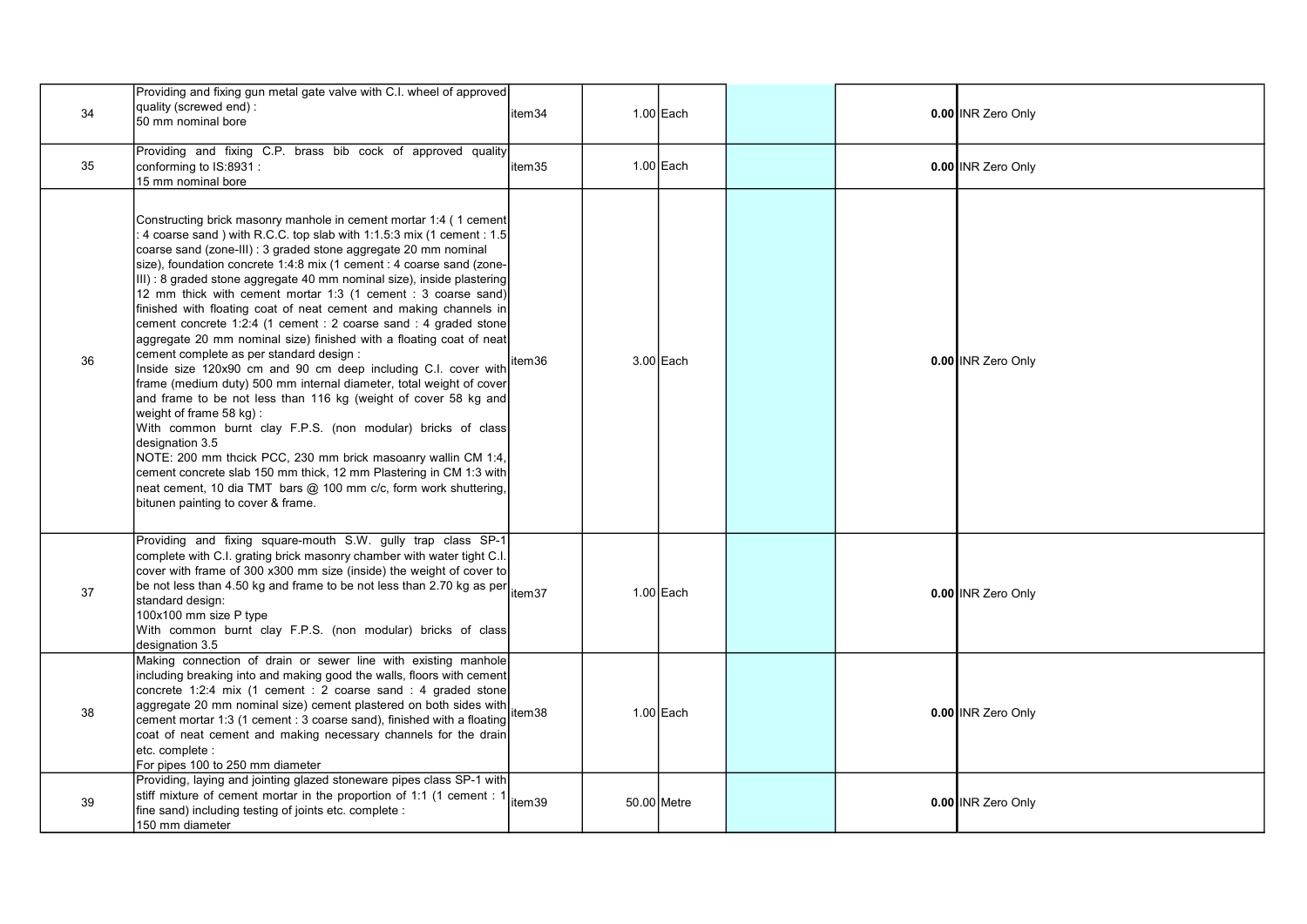| 34 | Providing and fixing gun metal gate valve with C.I. wheel of approved<br>quality (screwed end) :<br>l50 mm nominal bore                                                                                                                                                                                                                                                                                                                                                                                                                                                                                                                                                                                                                                                                                                                                                                                                                                                                                                                                                                                                                                                                                                                                                 | item34  | $1.00$ Each |  | 0.00 INR Zero Only |
|----|-------------------------------------------------------------------------------------------------------------------------------------------------------------------------------------------------------------------------------------------------------------------------------------------------------------------------------------------------------------------------------------------------------------------------------------------------------------------------------------------------------------------------------------------------------------------------------------------------------------------------------------------------------------------------------------------------------------------------------------------------------------------------------------------------------------------------------------------------------------------------------------------------------------------------------------------------------------------------------------------------------------------------------------------------------------------------------------------------------------------------------------------------------------------------------------------------------------------------------------------------------------------------|---------|-------------|--|--------------------|
| 35 | Providing and fixing C.P. brass bib cock of approved quality<br>conforming to IS:8931 :<br>15 mm nominal bore                                                                                                                                                                                                                                                                                                                                                                                                                                                                                                                                                                                                                                                                                                                                                                                                                                                                                                                                                                                                                                                                                                                                                           | item35  | $1.00$ Each |  | 0.00 INR Zero Only |
| 36 | Constructing brick masonry manhole in cement mortar 1:4 (1 cement<br>4 coarse sand ) with R.C.C. top slab with 1:1.5:3 mix (1 cement : 1.5<br>coarse sand (zone-III) : 3 graded stone aggregate 20 mm nominal<br>size), foundation concrete 1:4:8 mix (1 cement : 4 coarse sand (zone-<br>III) : 8 graded stone aggregate 40 mm nominal size), inside plastering<br>12 mm thick with cement mortar 1:3 (1 cement : 3 coarse sand)<br>finished with floating coat of neat cement and making channels in<br>cement concrete 1:2:4 (1 cement : 2 coarse sand : 4 graded stone<br>aggregate 20 mm nominal size) finished with a floating coat of neat<br>cement complete as per standard design :<br>Inside size 120x90 cm and 90 cm deep including C.I. cover with<br>frame (medium duty) 500 mm internal diameter, total weight of cover<br>and frame to be not less than 116 kg (weight of cover 58 kg and<br>weight of frame 58 kg):<br>With common burnt clay F.P.S. (non modular) bricks of class<br>designation 3.5<br>NOTE: 200 mm thcick PCC, 230 mm brick masoanry wallin CM 1:4,<br>cement concrete slab 150 mm thick, 12 mm Plastering in CM 1:3 with<br>neat cement, 10 dia TMT bars @ 100 mm c/c, form work shuttering,<br>bitunen painting to cover & frame. | litem36 | $3.00$ Each |  | 0.00 INR Zero Only |
| 37 | Providing and fixing square-mouth S.W. gully trap class SP-1<br>complete with C.I. grating brick masonry chamber with water tight C.I.<br>cover with frame of 300 x300 mm size (inside) the weight of cover to<br>be not less than 4.50 kg and frame to be not less than 2.70 kg as per tem 37<br>standard design:<br>100x100 mm size P type<br>With common burnt clay F.P.S. (non modular) bricks of class<br>designation 3.5                                                                                                                                                                                                                                                                                                                                                                                                                                                                                                                                                                                                                                                                                                                                                                                                                                          |         | 1.00 Each   |  | 0.00 INR Zero Only |
| 38 | Making connection of drain or sewer line with existing manhole<br>including breaking into and making good the walls, floors with cement<br>concrete 1:2:4 mix (1 cement : 2 coarse sand : 4 graded stone<br>aggregate 20 mm nominal size) cement plastered on both sides with tem38<br>cement mortar 1:3 (1 cement : 3 coarse sand), finished with a floating<br>coat of neat cement and making necessary channels for the drain<br>etc. complete :<br>For pipes 100 to 250 mm diameter                                                                                                                                                                                                                                                                                                                                                                                                                                                                                                                                                                                                                                                                                                                                                                                 |         | 1.00 Each   |  | 0.00 INR Zero Only |
| 39 | Providing, laying and jointing glazed stoneware pipes class SP-1 with<br>stiff mixture of cement mortar in the proportion of 1:1 (1 cement : 1<br>fine sand) including testing of joints etc. complete :<br>150 mm diameter                                                                                                                                                                                                                                                                                                                                                                                                                                                                                                                                                                                                                                                                                                                                                                                                                                                                                                                                                                                                                                             | item39  | 50.00 Metre |  | 0.00 INR Zero Only |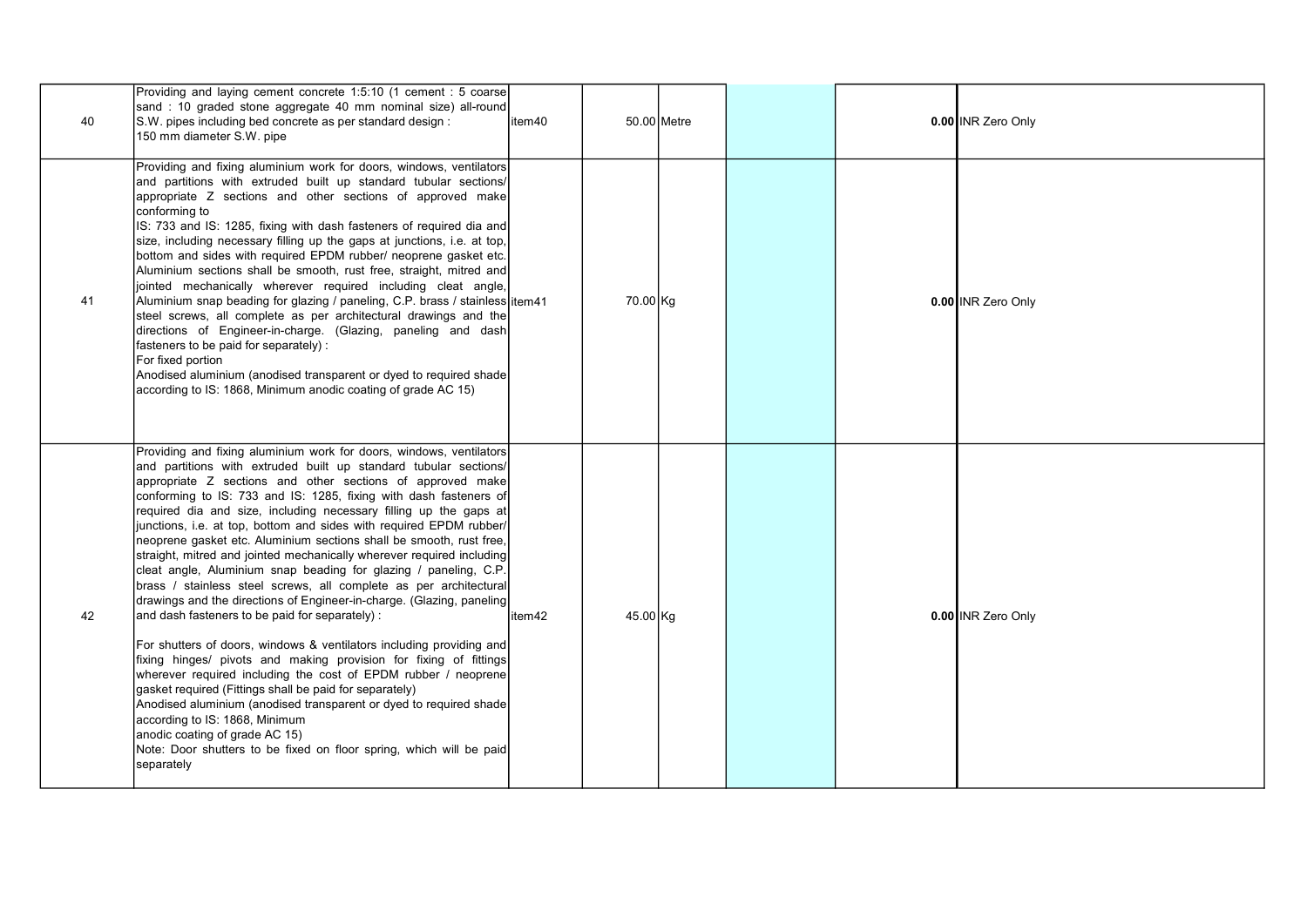| 40 | Providing and laying cement concrete 1:5:10 (1 cement : 5 coarse)<br>sand: 10 graded stone aggregate 40 mm nominal size) all-round<br>S.W. pipes including bed concrete as per standard design :<br>150 mm diameter S.W. pipe                                                                                                                                                                                                                                                                                                                                                                                                                                                                                                                                                                                                                                                                                                                                                                                                                                                                                                                                                                                                                                                                                                                       | item40 |          | 50.00 Metre |  | 0.00 INR Zero Only |
|----|-----------------------------------------------------------------------------------------------------------------------------------------------------------------------------------------------------------------------------------------------------------------------------------------------------------------------------------------------------------------------------------------------------------------------------------------------------------------------------------------------------------------------------------------------------------------------------------------------------------------------------------------------------------------------------------------------------------------------------------------------------------------------------------------------------------------------------------------------------------------------------------------------------------------------------------------------------------------------------------------------------------------------------------------------------------------------------------------------------------------------------------------------------------------------------------------------------------------------------------------------------------------------------------------------------------------------------------------------------|--------|----------|-------------|--|--------------------|
| 41 | Providing and fixing aluminium work for doors, windows, ventilators<br>and partitions with extruded built up standard tubular sections/<br>appropriate Z sections and other sections of approved make<br>conforming to<br>IS: 733 and IS: 1285, fixing with dash fasteners of required dia and<br>size, including necessary filling up the gaps at junctions, i.e. at top,<br>bottom and sides with required EPDM rubber/ neoprene gasket etc.<br>Aluminium sections shall be smooth, rust free, straight, mitred and<br>jointed mechanically wherever required including cleat angle,<br>Aluminium snap beading for glazing / paneling, C.P. brass / stainless item41<br>steel screws, all complete as per architectural drawings and the<br>directions of Engineer-in-charge. (Glazing, paneling and dash<br>fasteners to be paid for separately) :<br>For fixed portion<br>Anodised aluminium (anodised transparent or dyed to required shade<br>according to IS: 1868, Minimum anodic coating of grade AC 15)                                                                                                                                                                                                                                                                                                                                   |        | 70.00 Kg |             |  | 0.00 INR Zero Only |
| 42 | Providing and fixing aluminium work for doors, windows, ventilators<br>and partitions with extruded built up standard tubular sections/<br>appropriate Z sections and other sections of approved make<br>conforming to IS: 733 and IS: 1285, fixing with dash fasteners of<br>required dia and size, including necessary filling up the gaps at<br>junctions, i.e. at top, bottom and sides with required EPDM rubber/<br>neoprene gasket etc. Aluminium sections shall be smooth, rust free,<br>straight, mitred and jointed mechanically wherever required including<br>cleat angle, Aluminium snap beading for glazing / paneling, C.P.<br>brass / stainless steel screws, all complete as per architectural<br>drawings and the directions of Engineer-in-charge. (Glazing, paneling<br>and dash fasteners to be paid for separately):<br>For shutters of doors, windows & ventilators including providing and<br>fixing hinges/ pivots and making provision for fixing of fittings<br>wherever required including the cost of EPDM rubber / neoprene<br>gasket required (Fittings shall be paid for separately)<br>Anodised aluminium (anodised transparent or dyed to required shade<br>according to IS: 1868, Minimum<br>anodic coating of grade AC 15)<br>Note: Door shutters to be fixed on floor spring, which will be paid<br>separately | item42 | 45.00 Kg |             |  | 0.00 INR Zero Only |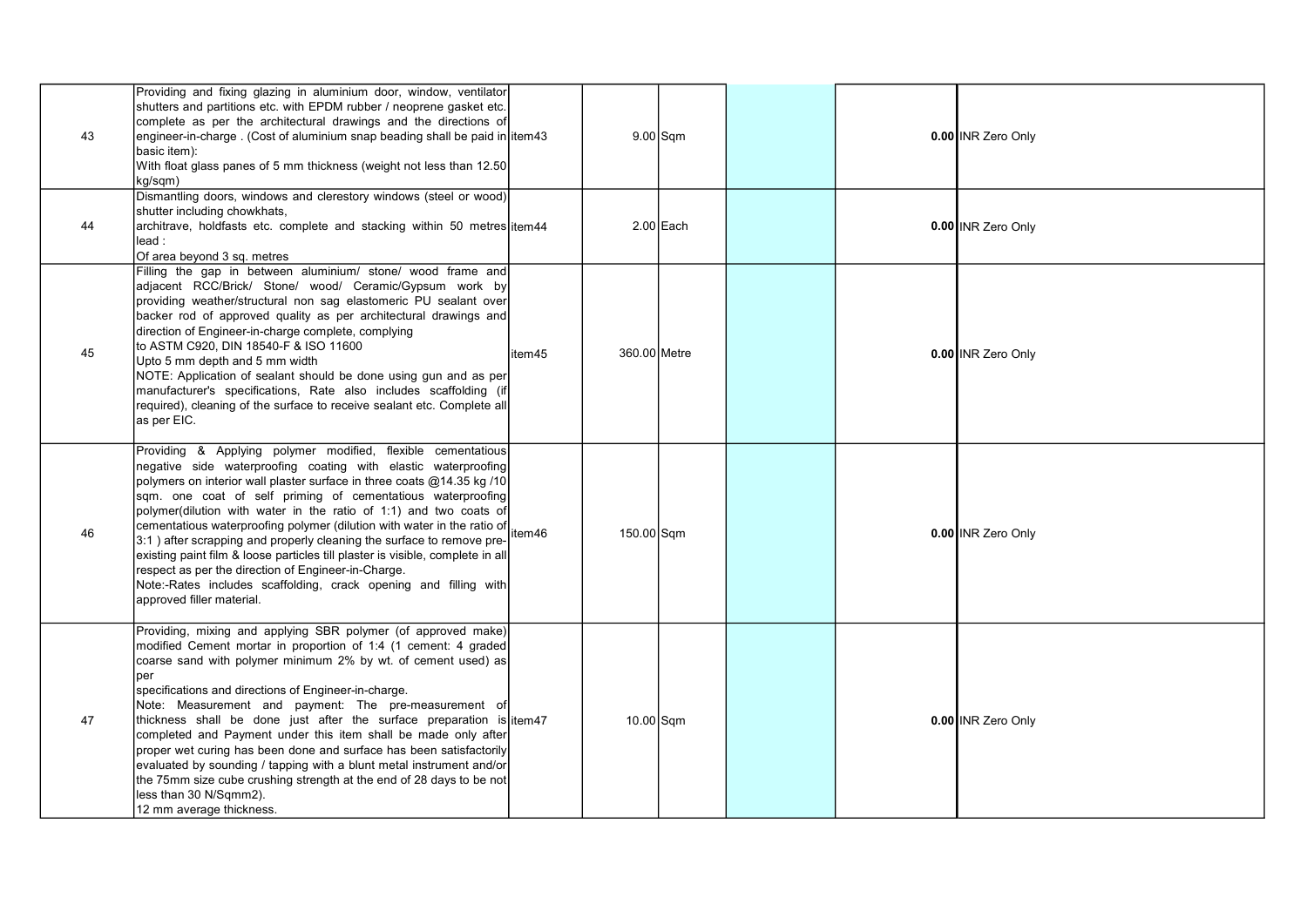| 43 | Providing and fixing glazing in aluminium door, window, ventilator<br>shutters and partitions etc. with EPDM rubber / neoprene gasket etc.<br>complete as per the architectural drawings and the directions of<br>engineer-in-charge. (Cost of aluminium snap beading shall be paid in item43<br>basic item):<br>With float glass panes of 5 mm thickness (weight not less than 12.50<br>kg/sqm)                                                                                                                                                                                                                                                                                                                                                                                                                            |        |              | $9.00$ Sqm  |  | 0.00 INR Zero Only |
|----|-----------------------------------------------------------------------------------------------------------------------------------------------------------------------------------------------------------------------------------------------------------------------------------------------------------------------------------------------------------------------------------------------------------------------------------------------------------------------------------------------------------------------------------------------------------------------------------------------------------------------------------------------------------------------------------------------------------------------------------------------------------------------------------------------------------------------------|--------|--------------|-------------|--|--------------------|
| 44 | Dismantling doors, windows and clerestory windows (steel or wood)<br>shutter including chowkhats,<br>architrave, holdfasts etc. complete and stacking within 50 metres item44<br>lead:<br>Of area beyond 3 sq. metres                                                                                                                                                                                                                                                                                                                                                                                                                                                                                                                                                                                                       |        |              | $2.00$ Each |  | 0.00 INR Zero Only |
| 45 | Filling the gap in between aluminium/ stone/ wood frame and<br>adjacent RCC/Brick/ Stone/ wood/ Ceramic/Gypsum work by<br>providing weather/structural non sag elastomeric PU sealant over<br>backer rod of approved quality as per architectural drawings and<br>direction of Engineer-in-charge complete, complying<br>to ASTM C920, DIN 18540-F & ISO 11600<br>Upto 5 mm depth and 5 mm width<br>NOTE: Application of sealant should be done using gun and as per<br>manufacturer's specifications, Rate also includes scaffolding (if<br>required), cleaning of the surface to receive sealant etc. Complete all<br>as per EIC.                                                                                                                                                                                         | item45 | 360.00 Metre |             |  | 0.00 INR Zero Only |
| 46 | Providing & Applying polymer modified, flexible cementatious<br>negative side waterproofing coating with elastic waterproofing<br>polymers on interior wall plaster surface in three coats $@14.35$ kg /10<br>sqm. one coat of self priming of cementatious waterproofing<br>polymer(dilution with water in the ratio of 1:1) and two coats of<br>cementatious waterproofing polymer (dilution with water in the ratio of tementatious waterproofing polymer (dilution with water in the ratio of tement<br>3:1) after scrapping and properly cleaning the surface to remove pre-<br>existing paint film & loose particles till plaster is visible, complete in all<br>respect as per the direction of Engineer-in-Charge.<br>Note:-Rates includes scaffolding, crack opening and filling with<br>approved filler material. |        | 150.00 Sqm   |             |  | 0.00 INR Zero Only |
| 47 | Providing, mixing and applying SBR polymer (of approved make)<br>modified Cement mortar in proportion of 1:4 (1 cement: 4 graded<br>coarse sand with polymer minimum 2% by wt. of cement used) as<br>per<br>specifications and directions of Engineer-in-charge.<br>Note: Measurement and payment: The pre-measurement of<br>thickness shall be done just after the surface preparation is item47<br>completed and Payment under this item shall be made only after<br>proper wet curing has been done and surface has been satisfactorily<br>evaluated by sounding / tapping with a blunt metal instrument and/or<br>the 75mm size cube crushing strength at the end of 28 days to be not<br>less than 30 N/Sqmm2).<br>12 mm average thickness.                                                                            |        | $10.00$ Sqm  |             |  | 0.00 INR Zero Only |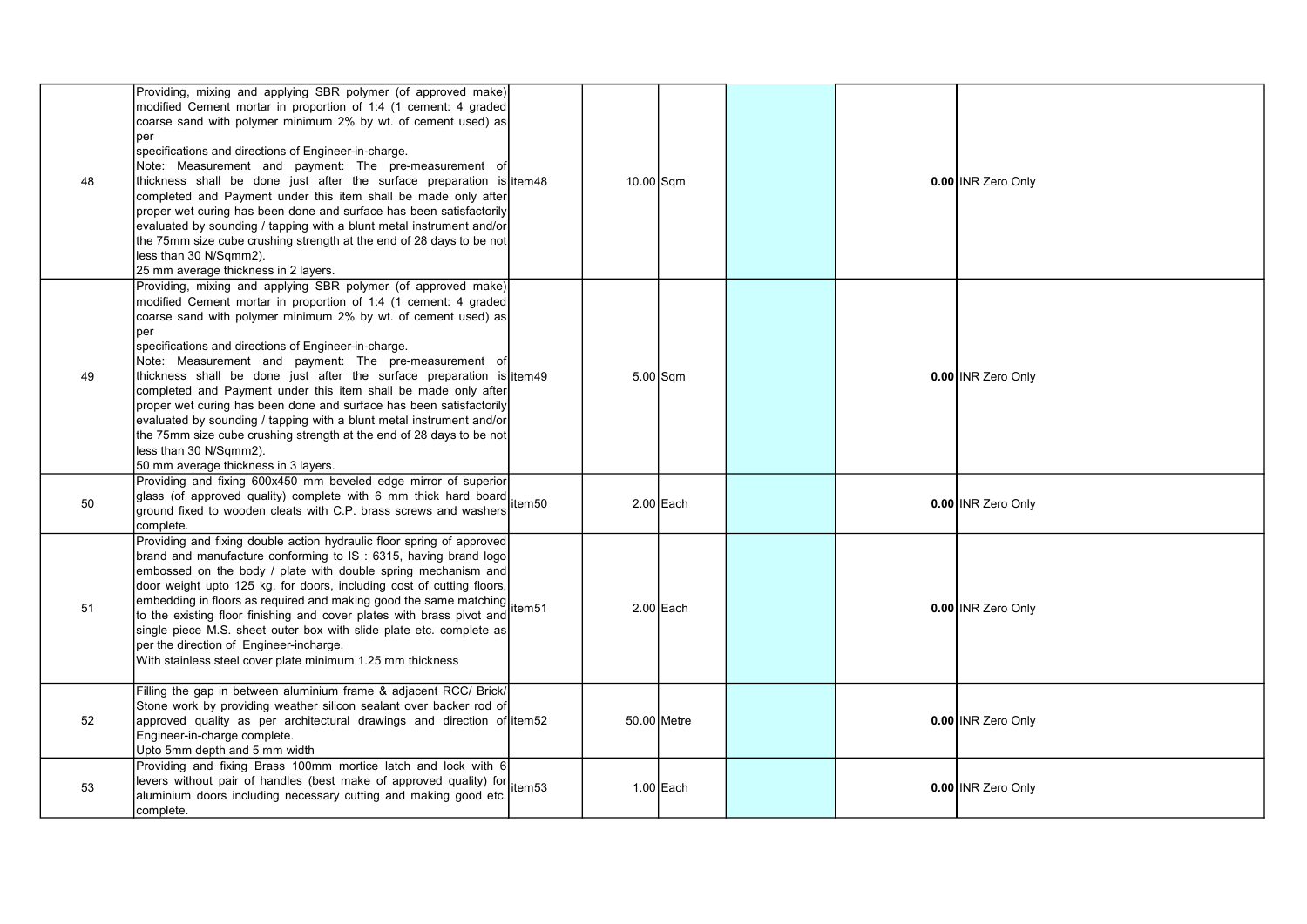| 48 | Providing, mixing and applying SBR polymer (of approved make)<br>modified Cement mortar in proportion of 1:4 (1 cement: 4 graded<br>coarse sand with polymer minimum 2% by wt. of cement used) as<br>per<br>specifications and directions of Engineer-in-charge.<br>Note: Measurement and payment: The pre-measurement of<br>thickness shall be done just after the surface preparation is litem48<br>completed and Payment under this item shall be made only after<br>proper wet curing has been done and surface has been satisfactorily<br>evaluated by sounding / tapping with a blunt metal instrument and/or<br>the 75mm size cube crushing strength at the end of 28 days to be not<br>less than 30 N/Sqmm2).<br>25 mm average thickness in 2 layers. |        | 10.00 Sqm |             |  | 0.00 INR Zero Only |
|----|---------------------------------------------------------------------------------------------------------------------------------------------------------------------------------------------------------------------------------------------------------------------------------------------------------------------------------------------------------------------------------------------------------------------------------------------------------------------------------------------------------------------------------------------------------------------------------------------------------------------------------------------------------------------------------------------------------------------------------------------------------------|--------|-----------|-------------|--|--------------------|
| 49 | Providing, mixing and applying SBR polymer (of approved make)<br>modified Cement mortar in proportion of 1:4 (1 cement: 4 graded<br>coarse sand with polymer minimum 2% by wt. of cement used) as<br>per<br>specifications and directions of Engineer-in-charge.<br>Note: Measurement and payment: The pre-measurement of<br>thickness shall be done just after the surface preparation is item49<br>completed and Payment under this item shall be made only after<br>proper wet curing has been done and surface has been satisfactorily<br>evaluated by sounding / tapping with a blunt metal instrument and/or<br>the 75mm size cube crushing strength at the end of 28 days to be not<br>less than 30 N/Sqmm2).<br>50 mm average thickness in 3 layers.  |        |           | $5.00$ Sqm  |  | 0.00 INR Zero Only |
| 50 | Providing and fixing 600x450 mm beveled edge mirror of superior<br>glass (of approved quality) complete with 6 mm thick hard board<br>ground fixed to wooden cleats with C.P. brass screws and washers<br>complete.                                                                                                                                                                                                                                                                                                                                                                                                                                                                                                                                           | item50 |           | $2.00$ Each |  | 0.00 INR Zero Only |
| 51 | Providing and fixing double action hydraulic floor spring of approved<br>brand and manufacture conforming to IS: 6315, having brand logo<br>embossed on the body / plate with double spring mechanism and<br>door weight upto 125 kg, for doors, including cost of cutting floors,<br>embedding in floors as required and making good the same matching<br>to the existing floor finishing and cover plates with brass pivot and<br>single piece M.S. sheet outer box with slide plate etc. complete as<br>per the direction of Engineer-incharge.<br>With stainless steel cover plate minimum 1.25 mm thickness                                                                                                                                              |        |           | 2.00 Each   |  | 0.00 INR Zero Only |
| 52 | Filling the gap in between aluminium frame & adjacent RCC/ Brick/<br>Stone work by providing weather silicon sealant over backer rod of<br>approved quality as per architectural drawings and direction of item52<br>Engineer-in-charge complete.<br>Upto 5mm depth and 5 mm width                                                                                                                                                                                                                                                                                                                                                                                                                                                                            |        |           | 50.00 Metre |  | 0.00 INR Zero Only |
| 53 | Providing and fixing Brass 100mm mortice latch and lock with 6<br>Providing and name brace results.<br>aluminium doors including necessary cutting and making good etc.<br>complete.                                                                                                                                                                                                                                                                                                                                                                                                                                                                                                                                                                          |        |           | $1.00$ Each |  | 0.00 INR Zero Only |